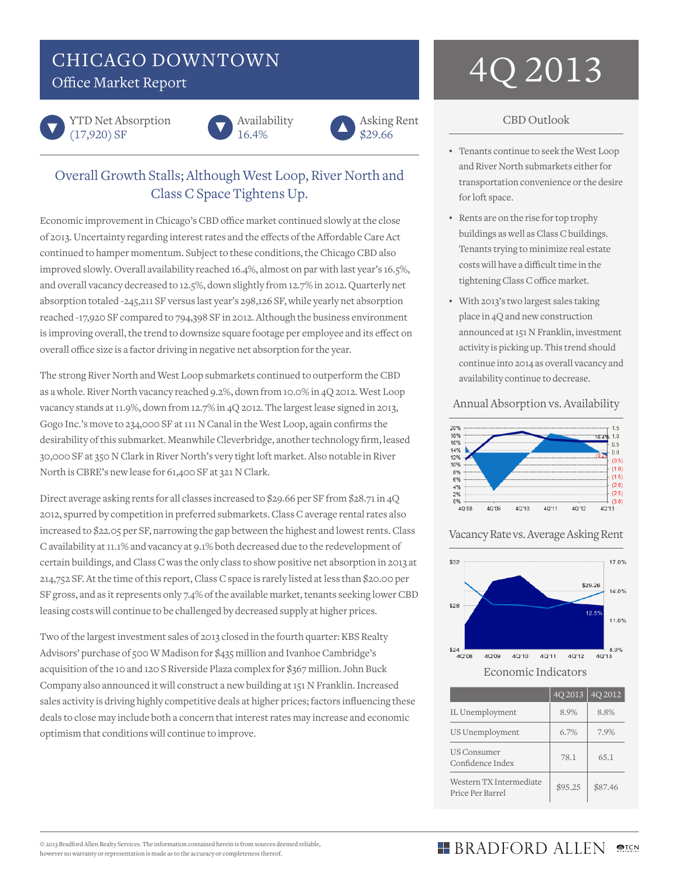# CHICAGO DOWNTOWN



YTD Net Absorption (17,920) SF





# Overall Growth Stalls; Although West Loop, River North and Class C Space Tightens Up.

Economic improvement in Chicago's CBD office market continued slowly at the close of 2013. Uncertainty regarding interest rates and the effects of the Affordable Care Act continued to hamper momentum. Subject to these conditions, the Chicago CBD also improved slowly. Overall availability reached 16.4%, almost on par with last year's 16.5%, and overall vacancy decreased to 12.5%, down slightly from 12.7% in 2012. Quarterly net absorption totaled -245,211 SF versus last year's 298,126 SF, while yearly net absorption reached -17,920 SF compared to 794,398 SF in 2012. Although the business environment is improving overall, the trend to downsize square footage per employee and its effect on overall office size is a factor driving in negative net absorption for the year.

The strong River North and West Loop submarkets continued to outperform the CBD as a whole. River North vacancy reached 9.2%, down from 10.0% in 4Q 2012. West Loop vacancy stands at 11.9%, down from 12.7% in 4Q 2012. The largest lease signed in 2013, Gogo Inc.'s move to 234,000 SF at 111 N Canal in the West Loop, again confirms the desirability of this submarket. Meanwhile Cleverbridge, another technology firm, leased 30,000 SF at 350 N Clark in River North's very tight loft market. Also notable in River North is CBRE's new lease for 61,400 SF at 321 N Clark.

Direct average asking rents for all classes increased to \$29.66 per SF from \$28.71 in 4Q 2012, spurred by competition in preferred submarkets. Class C average rental rates also increased to \$22.05 per SF, narrowing the gap between the highest and lowest rents. Class C availability at 11.1% and vacancy at 9.1% both decreased due to the redevelopment of certain buildings, and Class C was the only class to show positive net absorption in 2013 at 214,752 SF. At the time of this report, Class C space is rarely listed at less than \$20.00 per SF gross, and as it represents only 7.4% of the available market, tenants seeking lower CBD leasing costs will continue to be challenged by decreased supply at higher prices.

Two of the largest investment sales of 2013 closed in the fourth quarter: KBS Realty Advisors' purchase of 500 W Madison for \$435 million and Ivanhoe Cambridge's acquisition of the 10 and 120 S Riverside Plaza complex for \$367 million. John Buck Company also announced it will construct a new building at 151 N Franklin. Increased sales activity is driving highly competitive deals at higher prices; factors influencing these deals to close may include both a concern that interest rates may increase and economic optimism that conditions will continue to improve.

# CHICAGO DOWNTOWN  $4Q\,2013$

## CBD Outlook

- • Tenants continue to seek the West Loop and River North submarkets either for transportation convenience or the desire for loft space.
- • Rents are on the rise for top trophy buildings as well as Class C buildings. Tenants trying to minimize real estate costs will have a difficult time in the tightening Class C office market.
- • With 2013's two largest sales taking place in 4Q and new construction announced at 151 N Franklin, investment activity is picking up. This trend should continue into 2014 as overall vacancy and availability continue to decrease.

## Annual Absorption vs. Availability



## Vacancy Rate vs. Average Asking Rent



|                                             | $40\,2013$ | 4Q 2012 |
|---------------------------------------------|------------|---------|
| IL Unemployment                             | 8.9%       | 8.8%    |
| US Unemployment                             | 6.7%       | 7.9%    |
| <b>US Consumer</b><br>Confidence Index      | 78.1       | 65.1    |
| Western TX Intermediate<br>Price Per Barrel | \$95.25    | \$87.46 |

#### $-BRADFORD ALLEN$ **MPTCN**